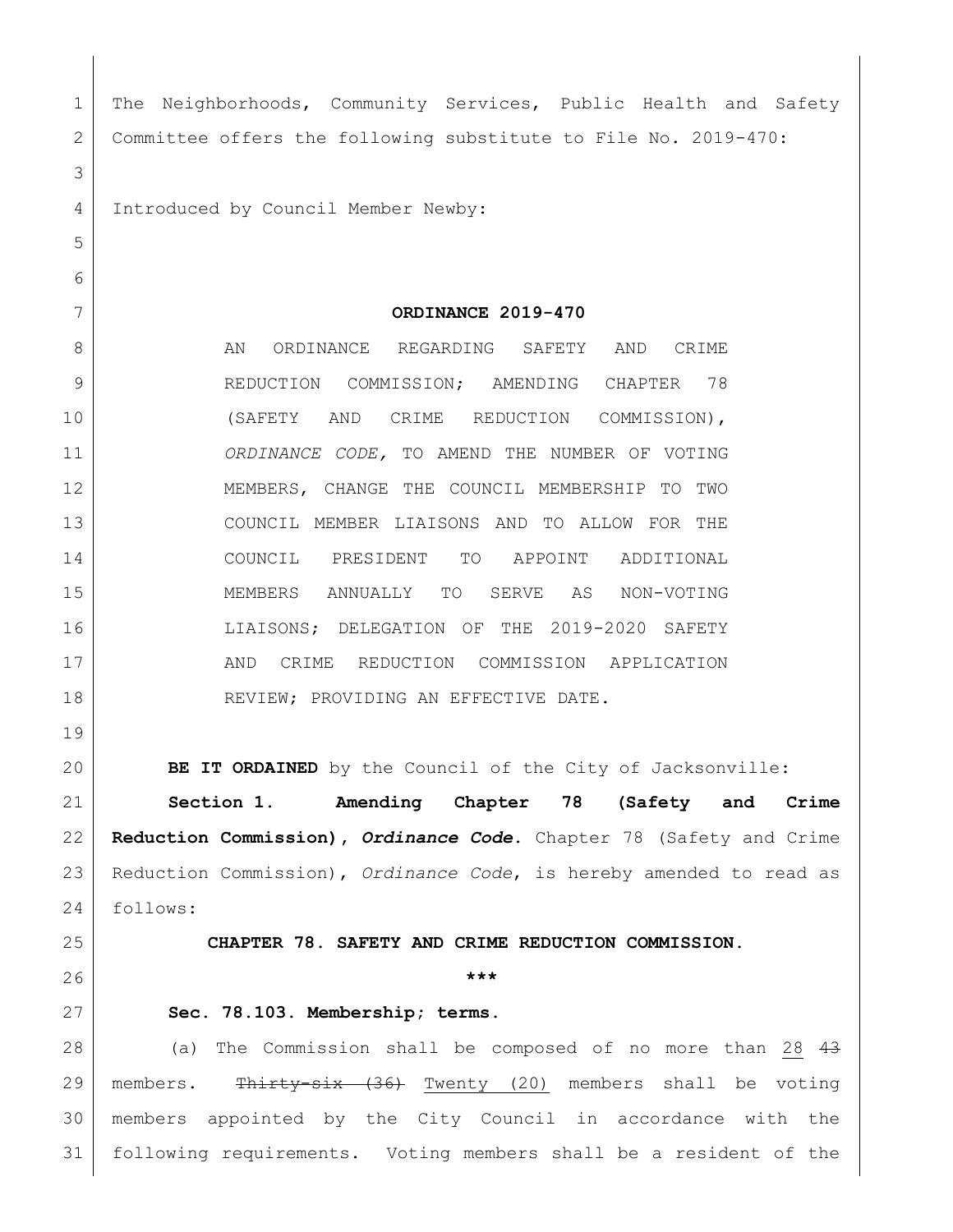| $\mathbf 1$  | The Neighborhoods, Community Services, Public Health and Safety     |
|--------------|---------------------------------------------------------------------|
| $\mathbf{2}$ | Committee offers the following substitute to File No. 2019-470:     |
| 3            |                                                                     |
| 4            | Introduced by Council Member Newby:                                 |
| 5            |                                                                     |
| 6            |                                                                     |
| 7            | ORDINANCE 2019-470                                                  |
| 8            | AN<br>ORDINANCE REGARDING SAFETY<br>AND<br>CRIME                    |
| 9            | REDUCTION COMMISSION; AMENDING CHAPTER<br>78                        |
| 10           | (SAFETY<br>CRIME REDUCTION COMMISSION),<br>AND                      |
| 11           | ORDINANCE CODE, TO AMEND THE NUMBER OF VOTING                       |
| 12           | MEMBERS, CHANGE THE COUNCIL MEMBERSHIP TO TWO                       |
| 13           | COUNCIL MEMBER LIAISONS AND TO ALLOW FOR THE                        |
| 14           | COUNCIL PRESIDENT<br>TO<br>APPOINT ADDITIONAL                       |
| 15           | TO SERVE AS<br>MEMBERS ANNUALLY<br>NON-VOTING                       |
| 16           | LIAISONS; DELEGATION OF THE 2019-2020 SAFETY                        |
| 17           | CRIME REDUCTION COMMISSION APPLICATION<br>AND                       |
| 18           | REVIEW; PROVIDING AN EFFECTIVE DATE.                                |
| 19           |                                                                     |
| 20           | BE IT ORDAINED by the Council of the City of Jacksonville:          |
| 21           | Section 1. Amending Chapter 78 (Safety and Crime                    |
| 22           | Reduction Commission), Ordinance Code. Chapter 78 (Safety and Crime |
| 23           | Reduction Commission), Ordinance Code, is hereby amended to read as |
| 24           | follows:                                                            |
| 25           | CHAPTER 78. SAFETY AND CRIME REDUCTION COMMISSION.                  |
| 26           | ***                                                                 |
| 27           | Sec. 78.103. Membership; terms.                                     |
| 28           | (a) The Commission shall be composed of no more than 28 43          |
| 29           | members. Thirty-six (36) Twenty (20) members shall be voting        |
| 30           | members appointed by the City Council in accordance with the        |
| 31           | following requirements. Voting members shall be a resident of the   |

 $\overline{\phantom{a}}$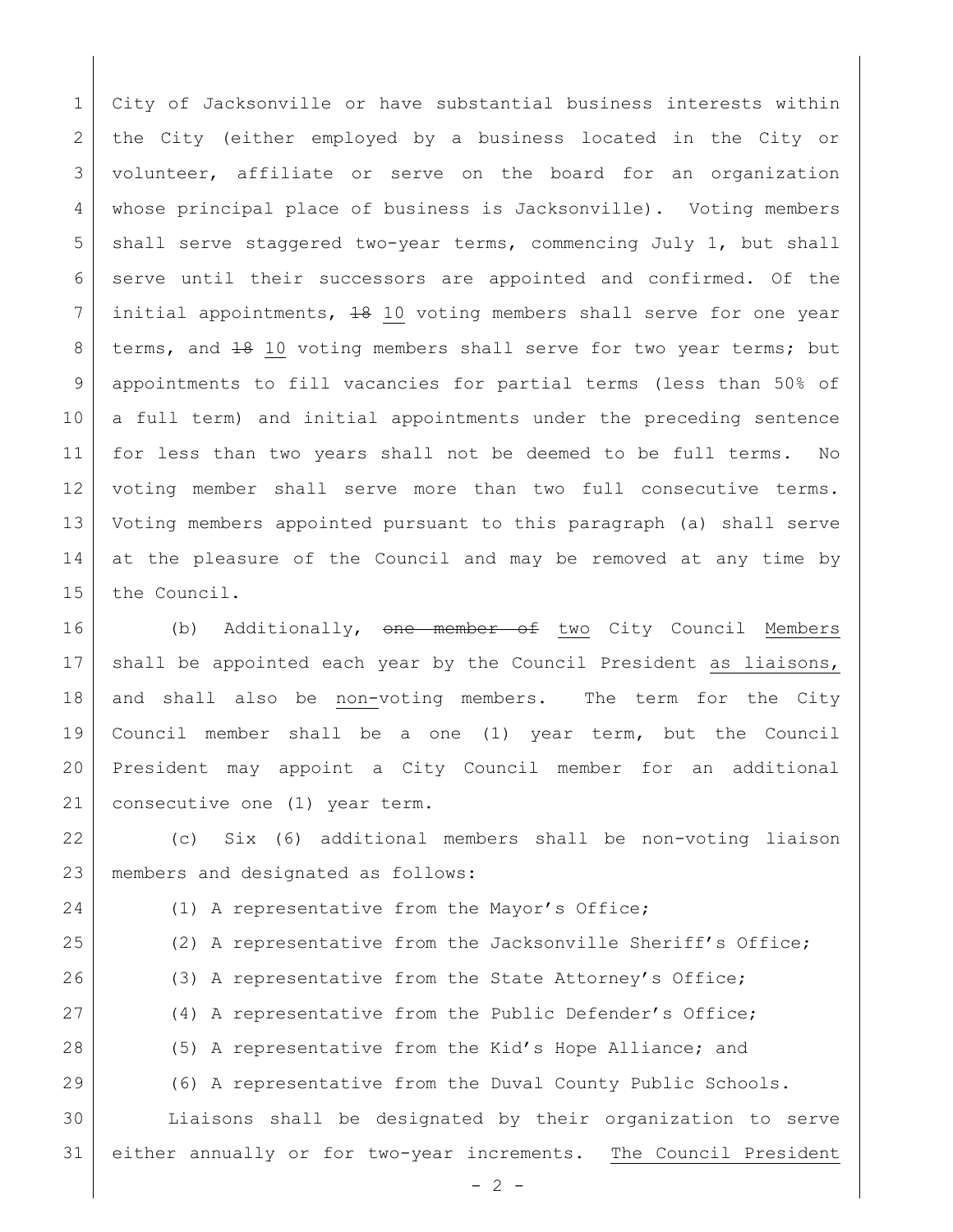1 City of Jacksonville or have substantial business interests within 2 | the City (either employed by a business located in the City or volunteer, affiliate or serve on the board for an organization whose principal place of business is Jacksonville). Voting members shall serve staggered two-year terms, commencing July 1, but shall serve until their successors are appointed and confirmed. Of the initial appointments, 18 10 voting members shall serve for one year 8 terms, and  $\frac{18}{10}$  voting members shall serve for two year terms; but appointments to fill vacancies for partial terms (less than 50% of a full term) and initial appointments under the preceding sentence for less than two years shall not be deemed to be full terms. No 12 voting member shall serve more than two full consecutive terms. Voting members appointed pursuant to this paragraph (a) shall serve 14 at the pleasure of the Council and may be removed at any time by the Council.

16 (b) Additionally, <del>one member of</del> two City Council Members shall be appointed each year by the Council President as liaisons, and shall also be non-voting members. The term for the City Council member shall be a one (1) year term, but the Council President may appoint a City Council member for an additional 21 | consecutive one (1) year term.

 (c) Six (6) additional members shall be non-voting liaison members and designated as follows:

24 (1) A representative from the Mayor's Office;

25 (2) A representative from the Jacksonville Sheriff's Office; 26 (3) A representative from the State Attorney's Office; (4) A representative from the Public Defender's Office; 28 (5) A representative from the Kid's Hope Alliance; and (6) A representative from the Duval County Public Schools. Liaisons shall be designated by their organization to serve either annually or for two-year increments. The Council President

 $- 2 -$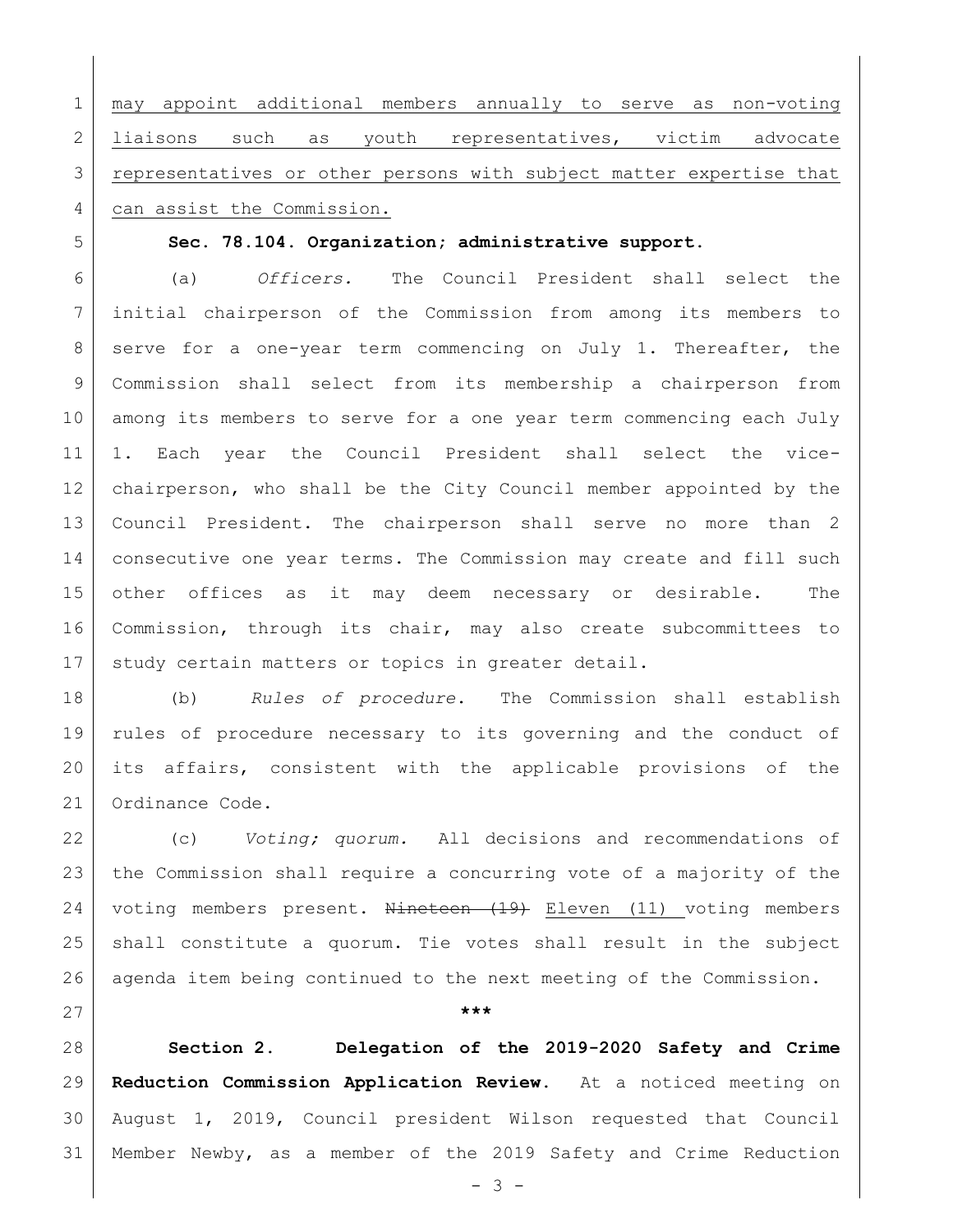may appoint additional members annually to serve as non-voting 2 liaisons such as youth representatives, victim advocate representatives or other persons with subject matter expertise that can assist the Commission.

## **Sec. 78.104. Organization; administrative support.**

 (a) *Officers.* The Council President shall select the initial chairperson of the Commission from among its members to 8 serve for a one-year term commencing on July 1. Thereafter, the Commission shall select from its membership a chairperson from among its members to serve for a one year term commencing each July 1. Each year the Council President shall select the vice- chairperson, who shall be the City Council member appointed by the Council President. The chairperson shall serve no more than 2 consecutive one year terms. The Commission may create and fill such other offices as it may deem necessary or desirable. The Commission, through its chair, may also create subcommittees to 17 | study certain matters or topics in greater detail.

 (b) *Rules of procedure***.** The Commission shall establish rules of procedure necessary to its governing and the conduct of its affairs, consistent with the applicable provisions of the 21 Ordinance Code.

 (c) *Voting; quorum.* All decisions and recommendations of the Commission shall require a concurring vote of a majority of the 24 voting members present. Nineteen (19) Eleven (11) voting members shall constitute a quorum. Tie votes shall result in the subject agenda item being continued to the next meeting of the Commission.

**\*\*\***

 **Section 2. Delegation of the 2019-2020 Safety and Crime Reduction Commission Application Review.** At a noticed meeting on August 1, 2019, Council president Wilson requested that Council Member Newby, as a member of the 2019 Safety and Crime Reduction

 $- 3 -$